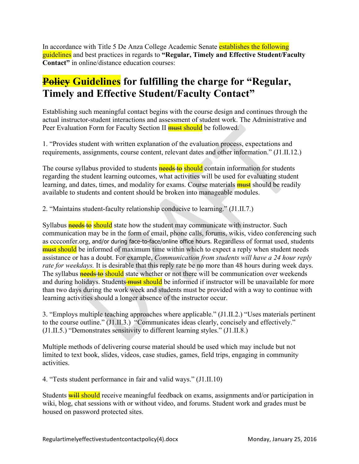In accordance with Title 5 De Anza College Academic Senate establishes the following guidelines and best practices in regards to **"Regular, Timely and Effective Student/Faculty Contact"** in online/distance education courses:

## **Policy Guidelines for fulfilling the charge for "Regular, Timely and Effective Student/Faculty Contact"**

Establishing such meaningful contact begins with the course design and continues through the actual instructor-student interactions and assessment of student work. The Administrative and Peer Evaluation Form for Faculty Section II **must should** be followed.

1. "Provides student with written explanation of the evaluation process, expectations and requirements, assignments, course content, relevant dates and other information." (J1.II.12.)

The course syllabus provided to students **needs to should** contain information for students regarding the student learning outcomes, what activities will be used for evaluating student learning, and dates, times, and modality for exams. Course materials **must** should be readily available to students and content should be broken into manageable modules.

2. "Maintains student-faculty relationship conducive to learning." (J1.II.7.)

Syllabus **needs to** should state how the student may communicate with instructor. Such communication may be in the form of email, phone calls, forums, wikis, video conferencing such as cccconfer.org, and/or during face-to-face/online office hours. Regardless of format used, students **must should** be informed of maximum time within which to expect a reply when student needs assistance or has a doubt. For example, *Communication from students will have a 24 hour reply rate for weekdays.* It is desirable that this reply rate be no more than 48 hours during week days. The syllabus **needs to should** state whether or not there will be communication over weekends and during holidays. Students must should be informed if instructor will be unavailable for more than two days during the work week and students must be provided with a way to continue with learning activities should a longer absence of the instructor occur.

3. "Employs multiple teaching approaches where applicable." (J1.II.2.) "Uses materials pertinent to the course outline." (J1.II.3.) "Communicates ideas clearly, concisely and effectively." (J1.II.5.) "Demonstrates sensitivity to different learning styles." (J1.II.8.)

Multiple methods of delivering course material should be used which may include but not limited to text book, slides, videos, case studies, games, field trips, engaging in community activities.

4. "Tests student performance in fair and valid ways." (J1.II.10)

Students will should receive meaningful feedback on exams, assignments and/or participation in wiki, blog, chat sessions with or without video, and forums. Student work and grades must be housed on password protected sites.